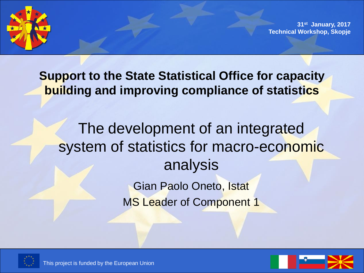

**31st January, 2017 Technical Workshop, Skopje**

**Support to the State Statistical Office for capacity building and improving compliance of statistics**

The development of an integrated system of statistics for macro-economic analysis Gian Paolo Oneto, Istat

MS Leader of Component 1





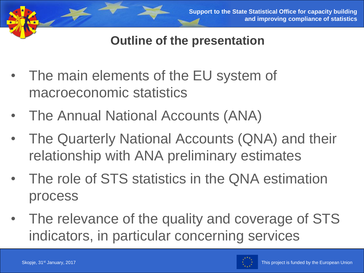

**Outline of the presentation**

- The main elements of the EU system of macroeconomic statistics
- The Annual National Accounts (ANA)
- The Quarterly National Accounts (QNA) and their relationship with ANA preliminary estimates
- The role of STS statistics in the QNA estimation process
- The relevance of the quality and coverage of STS indicators, in particular concerning services

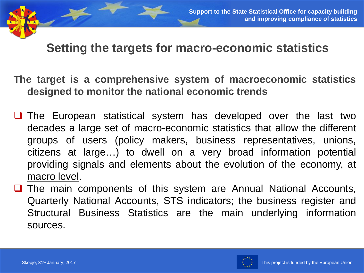#### **Setting the targets for macro-economic statistics**

- **The target is a comprehensive system of macroeconomic statistics designed to monitor the national economic trends**
- **The European statistical system has developed over the last two** decades a large set of macro-economic statistics that allow the different groups of users (policy makers, business representatives, unions, citizens at large…) to dwell on a very broad information potential providing signals and elements about the evolution of the economy, at macro level.
- **The main components of this system are Annual National Accounts,** Quarterly National Accounts, STS indicators; the business register and Structural Business Statistics are the main underlying information sources.

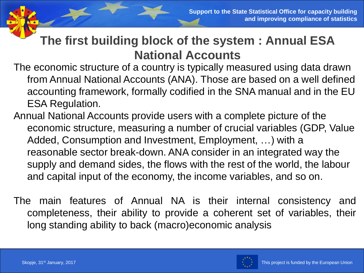#### **The first building block of the system : Annual ESA National Accounts**

The economic structure of a country is typically measured using data drawn from Annual National Accounts (ANA). Those are based on a well defined accounting framework, formally codified in the SNA manual and in the EU ESA Regulation.

- Annual National Accounts provide users with a complete picture of the economic structure, measuring a number of crucial variables (GDP, Value Added, Consumption and Investment, Employment, …) with a reasonable sector break-down. ANA consider in an integrated way the supply and demand sides, the flows with the rest of the world, the labour and capital input of the economy, the income variables, and so on.
- The main features of Annual NA is their internal consistency and completeness, their ability to provide a coherent set of variables, their long standing ability to back (macro)economic analysis

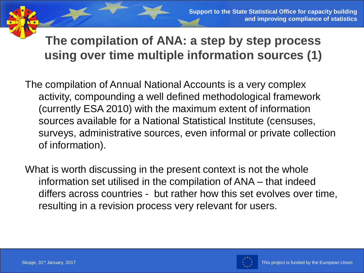**The compilation of ANA: a step by step process using over time multiple information sources (1)**

The compilation of Annual National Accounts is a very complex activity, compounding a well defined methodological framework (currently ESA 2010) with the maximum extent of information sources available for a National Statistical Institute (censuses, surveys, administrative sources, even informal or private collection of information).

What is worth discussing in the present context is not the whole information set utilised in the compilation of ANA – that indeed differs across countries - but rather how this set evolves over time, resulting in a revision process very relevant for users.

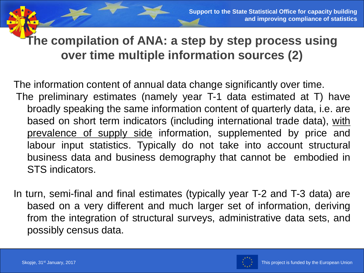**The compilation of ANA: a step by step process using over time multiple information sources (2)**

The information content of annual data change significantly over time. The preliminary estimates (namely year T-1 data estimated at T) have broadly speaking the same information content of quarterly data, i.e. are based on short term indicators (including international trade data), with prevalence of supply side information, supplemented by price and labour input statistics. Typically do not take into account structural business data and business demography that cannot be embodied in STS indicators.

In turn, semi-final and final estimates (typically year T-2 and T-3 data) are based on a very different and much larger set of information, deriving from the integration of structural surveys, administrative data sets, and possibly census data.

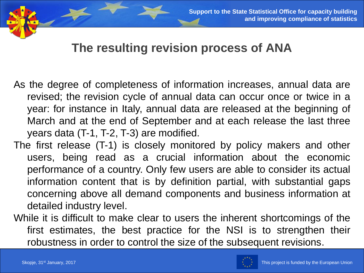#### **The resulting revision process of ANA**

As the degree of completeness of information increases, annual data are revised; the revision cycle of annual data can occur once or twice in a year: for instance in Italy, annual data are released at the beginning of March and at the end of September and at each release the last three years data (T-1, T-2, T-3) are modified.

- The first release (T-1) is closely monitored by policy makers and other users, being read as a crucial information about the economic performance of a country. Only few users are able to consider its actual information content that is by definition partial, with substantial gaps concerning above all demand components and business information at detailed industry level.
- While it is difficult to make clear to users the inherent shortcomings of the first estimates, the best practice for the NSI is to strengthen their robustness in order to control the size of the subsequent revisions.

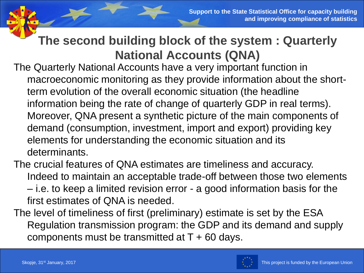#### **The second building block of the system : Quarterly National Accounts (QNA)**

The Quarterly National Accounts have a very important function in macroeconomic monitoring as they provide information about the shortterm evolution of the overall economic situation (the headline information being the rate of change of quarterly GDP in real terms). Moreover, QNA present a synthetic picture of the main components of demand (consumption, investment, import and export) providing key elements for understanding the economic situation and its determinants.

The crucial features of QNA estimates are timeliness and accuracy. Indeed to maintain an acceptable trade-off between those two elements – i.e. to keep a limited revision error - a good information basis for the first estimates of QNA is needed.

The level of timeliness of first (preliminary) estimate is set by the ESA Regulation transmission program: the GDP and its demand and supply components must be transmitted at  $T + 60$  days.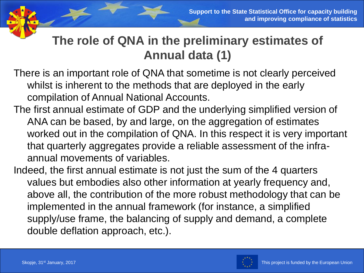# **The role of QNA in the preliminary estimates of Annual data (1)**

- There is an important role of QNA that sometime is not clearly perceived whilst is inherent to the methods that are deployed in the early compilation of Annual National Accounts.
- The first annual estimate of GDP and the underlying simplified version of ANA can be based, by and large, on the aggregation of estimates worked out in the compilation of QNA. In this respect it is very important that quarterly aggregates provide a reliable assessment of the infraannual movements of variables.
- Indeed, the first annual estimate is not just the sum of the 4 quarters values but embodies also other information at yearly frequency and, above all, the contribution of the more robust methodology that can be implemented in the annual framework (for instance, a simplified supply/use frame, the balancing of supply and demand, a complete double deflation approach, etc.).

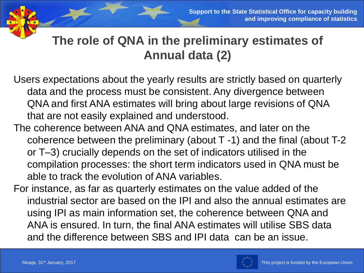# **The role of QNA in the preliminary estimates of Annual data (2)**

- Users expectations about the yearly results are strictly based on quarterly data and the process must be consistent. Any divergence between QNA and first ANA estimates will bring about large revisions of QNA that are not easily explained and understood.
- The coherence between ANA and QNA estimates, and later on the coherence between the preliminary (about T -1) and the final (about T-2 or T–3) crucially depends on the set of indicators utilised in the compilation processes: the short term indicators used in QNA must be able to track the evolution of ANA variables.
- For instance, as far as quarterly estimates on the value added of the industrial sector are based on the IPI and also the annual estimates are using IPI as main information set, the coherence between QNA and ANA is ensured. In turn, the final ANA estimates will utilise SBS data and the difference between SBS and IPI data can be an issue.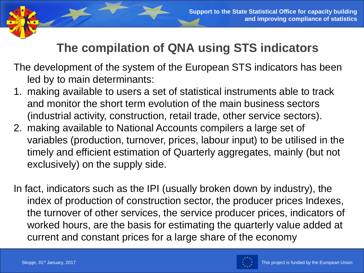# **The compilation of QNA using STS indicators**

The development of the system of the European STS indicators has been led by to main determinants:

- 1. making available to users a set of statistical instruments able to track and monitor the short term evolution of the main business sectors (industrial activity, construction, retail trade, other service sectors).
- 2. making available to National Accounts compilers a large set of variables (production, turnover, prices, labour input) to be utilised in the timely and efficient estimation of Quarterly aggregates, mainly (but not exclusively) on the supply side.
- In fact, indicators such as the IPI (usually broken down by industry), the index of production of construction sector, the producer prices Indexes, the turnover of other services, the service producer prices, indicators of worked hours, are the basis for estimating the quarterly value added at current and constant prices for a large share of the economy

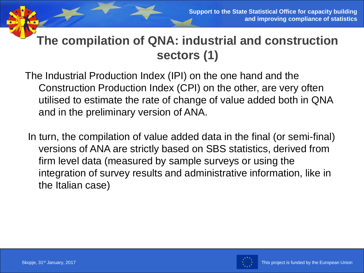# **The compilation of QNA: industrial and construction sectors (1)**

The Industrial Production Index (IPI) on the one hand and the Construction Production Index (CPI) on the other, are very often utilised to estimate the rate of change of value added both in QNA and in the preliminary version of ANA.

In turn, the compilation of value added data in the final (or semi-final) versions of ANA are strictly based on SBS statistics, derived from firm level data (measured by sample surveys or using the integration of survey results and administrative information, like in the Italian case)

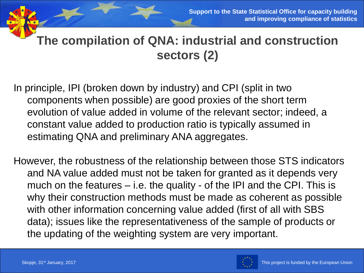## **The compilation of QNA: industrial and construction sectors (2)**

In principle, IPI (broken down by industry) and CPI (split in two components when possible) are good proxies of the short term evolution of value added in volume of the relevant sector; indeed, a constant value added to production ratio is typically assumed in estimating QNA and preliminary ANA aggregates.

However, the robustness of the relationship between those STS indicators and NA value added must not be taken for granted as it depends very much on the features – i.e. the quality - of the IPI and the CPI. This is why their construction methods must be made as coherent as possible with other information concerning value added (first of all with SBS data); issues like the representativeness of the sample of products or the updating of the weighting system are very important.

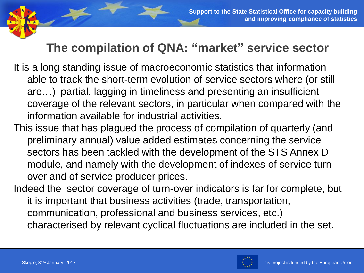### **The compilation of QNA: "market" service sector**

- It is a long standing issue of macroeconomic statistics that information able to track the short-term evolution of service sectors where (or still are…) partial, lagging in timeliness and presenting an insufficient coverage of the relevant sectors, in particular when compared with the information available for industrial activities.
- This issue that has plagued the process of compilation of quarterly (and preliminary annual) value added estimates concerning the service sectors has been tackled with the development of the STS Annex D module, and namely with the development of indexes of service turnover and of service producer prices.
- Indeed the sector coverage of turn-over indicators is far for complete, but it is important that business activities (trade, transportation, communication, professional and business services, etc.) characterised by relevant cyclical fluctuations are included in the set.

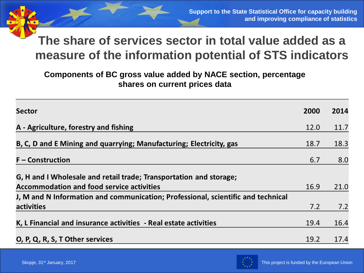#### **The share of services sector in total value added as a measure of the information potential of STS indicators**

#### **Components of BC gross value added by NACE section, percentage shares on current prices data**

| <b>Sector</b>                                                                    | 2000 | 2014 |
|----------------------------------------------------------------------------------|------|------|
| A - Agriculture, forestry and fishing                                            | 12.0 | 11.7 |
| B, C, D and E Mining and quarrying; Manufacturing; Electricity, gas              | 18.7 | 18.3 |
| $F$ – Construction                                                               | 6.7  | 8.0  |
| G, H and I Wholesale and retail trade; Transportation and storage;               |      |      |
| <b>Accommodation and food service activities</b>                                 | 16.9 | 21.0 |
| J, M and N Information and communication; Professional, scientific and technical |      |      |
| activities                                                                       | 7.2  | 7.2  |
| K, L Financial and insurance activities - Real estate activities                 | 19.4 | 16.4 |
| O, P, Q, R, S, T Other services                                                  | 19.2 | 17.4 |

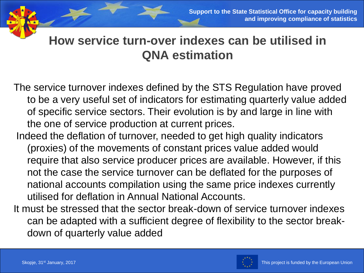#### **How service turn-over indexes can be utilised in QNA estimation**

The service turnover indexes defined by the STS Regulation have proved to be a very useful set of indicators for estimating quarterly value added of specific service sectors. Their evolution is by and large in line with the one of service production at current prices.

- Indeed the deflation of turnover, needed to get high quality indicators (proxies) of the movements of constant prices value added would require that also service producer prices are available. However, if this not the case the service turnover can be deflated for the purposes of national accounts compilation using the same price indexes currently utilised for deflation in Annual National Accounts.
- It must be stressed that the sector break-down of service turnover indexes can be adapted with a sufficient degree of flexibility to the sector breakdown of quarterly value added

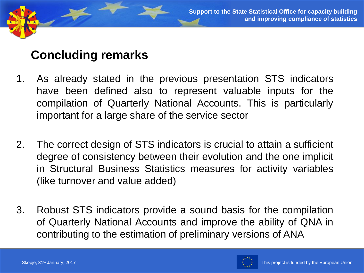#### **Concluding remarks**

- 1. As already stated in the previous presentation STS indicators have been defined also to represent valuable inputs for the compilation of Quarterly National Accounts. This is particularly important for a large share of the service sector
- 2. The correct design of STS indicators is crucial to attain a sufficient degree of consistency between their evolution and the one implicit in Structural Business Statistics measures for activity variables (like turnover and value added)
- 3. Robust STS indicators provide a sound basis for the compilation of Quarterly National Accounts and improve the ability of QNA in contributing to the estimation of preliminary versions of ANA